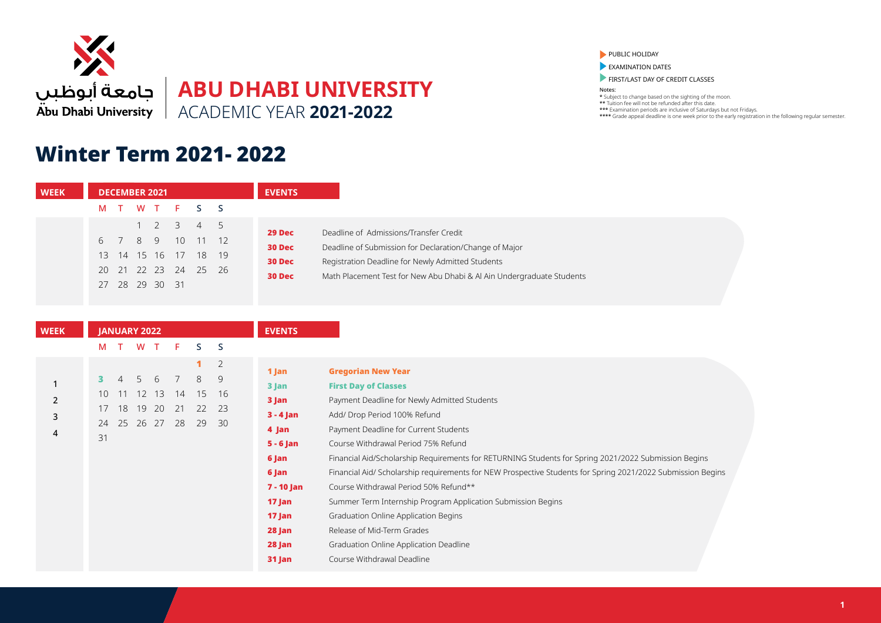

## Winter Term 2021- 2022

PUBLIC HOLIDAY

**EXAMINATION DATES** 

**FIRST/LAST DAY OF CREDIT CLASSES** 

| <b>WEEK</b>                   | <b>DECEMBER 2021</b>                                                                                                                                                                      | <b>EVENTS</b>                                                                                                                                                                                                                                                                                                                                                                                                                                                                                                                                                                                                                                                                                                                                                                                                                                          |
|-------------------------------|-------------------------------------------------------------------------------------------------------------------------------------------------------------------------------------------|--------------------------------------------------------------------------------------------------------------------------------------------------------------------------------------------------------------------------------------------------------------------------------------------------------------------------------------------------------------------------------------------------------------------------------------------------------------------------------------------------------------------------------------------------------------------------------------------------------------------------------------------------------------------------------------------------------------------------------------------------------------------------------------------------------------------------------------------------------|
|                               | S<br>-S<br>W<br>F<br>ா<br>М<br>$\top$                                                                                                                                                     |                                                                                                                                                                                                                                                                                                                                                                                                                                                                                                                                                                                                                                                                                                                                                                                                                                                        |
|                               | 2<br>3<br>5<br>$\overline{4}$<br>8<br>10<br>9<br>11<br>12<br>6<br>15 16<br>17<br>18<br>19<br>13<br>14<br>20<br>21<br>22<br>23<br>24<br>25<br>26<br>28<br>29 30<br>27<br>- 31              | 29 Dec<br>Deadline of Admissions/Transfer Credit<br>Deadline of Submission for Declaration/Change of Major<br>30 Dec<br>Registration Deadline for Newly Admitted Students<br>30 Dec<br>Math Placement Test for New Abu Dhabi & Al Ain Undergraduate Students<br>30 Dec                                                                                                                                                                                                                                                                                                                                                                                                                                                                                                                                                                                 |
|                               |                                                                                                                                                                                           |                                                                                                                                                                                                                                                                                                                                                                                                                                                                                                                                                                                                                                                                                                                                                                                                                                                        |
| <b>WEEK</b>                   | <b>JANUARY 2022</b>                                                                                                                                                                       | <b>EVENTS</b>                                                                                                                                                                                                                                                                                                                                                                                                                                                                                                                                                                                                                                                                                                                                                                                                                                          |
|                               | S<br>S<br>W T<br>F.<br>M<br>$\top$                                                                                                                                                        |                                                                                                                                                                                                                                                                                                                                                                                                                                                                                                                                                                                                                                                                                                                                                                                                                                                        |
| 1<br>$\overline{2}$<br>3<br>4 | $\overline{2}$<br>1<br>$\overline{7}$<br>8<br>9<br>6<br>5<br>з<br>15<br>16<br>10<br>12<br>13<br>14<br>17<br>18<br>19<br>20<br>21<br>22<br>23<br>25<br>26 27<br>28<br>29<br>30<br>24<br>31 | <b>Gregorian New Year</b><br>1 Jan<br><b>First Day of Classes</b><br>$3$ Jan<br>Payment Deadline for Newly Admitted Students<br>3 Jan<br>$3 - 4$ Jan<br>Add/ Drop Period 100% Refund<br>Payment Deadline for Current Students<br>4 Jan<br>Course Withdrawal Period 75% Refund<br>$5 - 6$ Jan<br>Financial Aid/Scholarship Requirements for RETURNING Students for Spring 2021/2022 Submission Begins<br>6 Jan<br>Financial Aid/ Scholarship requirements for NEW Prospective Students for Spring 2021/2022 Submission Begins<br>6 Jan<br>Course Withdrawal Period 50% Refund**<br>7 - 10 Jan<br>Summer Term Internship Program Application Submission Begins<br>17 Jan<br>Graduation Online Application Begins<br>$17$ Jan<br>Release of Mid-Term Grades<br>$28$ Jan<br>Graduation Online Application Deadline<br>28 Jan<br>Course Withdrawal Deadline |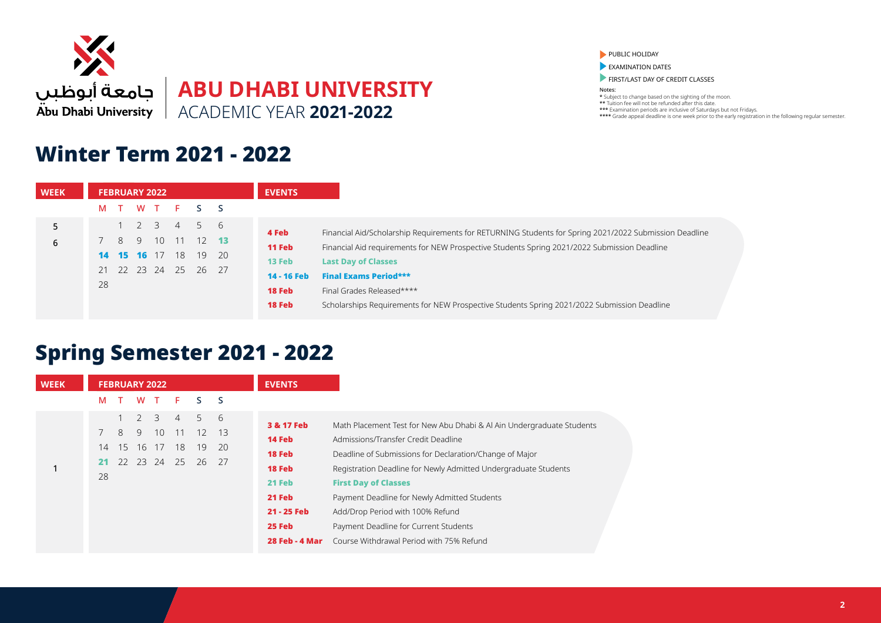

### Winter Term 2021 - 2022

PUBLIC HOLIDAY

EXAMINATION DATES

FIRST/LAST DAY OF CREDIT CLASSES

Notes:

\* Subject to change based on the sighting of the moon. \*\* Tuition fee will not be refunded after this date. \*\*\* Examination periods are inclusive of Saturdays but not Fridays. \*\*\*\* Grade appeal deadline is one week prior to the early registration in the following regular semester.

| <b>WEEK</b> | <b>FEBRUARY 2022</b>                                                                                                                            | <b>EVENTS</b>                                                                                                                                                                                                                                                                                                                                                                                                                                                                  |
|-------------|-------------------------------------------------------------------------------------------------------------------------------------------------|--------------------------------------------------------------------------------------------------------------------------------------------------------------------------------------------------------------------------------------------------------------------------------------------------------------------------------------------------------------------------------------------------------------------------------------------------------------------------------|
|             | WT F<br>S.<br>M<br>S.<br>$\top$                                                                                                                 |                                                                                                                                                                                                                                                                                                                                                                                                                                                                                |
| 5<br>6      | $1 \t2 \t3 \t4$<br>.5<br>- 6<br>10 11<br>$12$ <b>13</b><br>8<br>9<br><b>14 15 16</b> 17<br>18<br>19<br>- 20<br>21 22 23 24 25<br>26<br>27<br>28 | 4 Feb<br>Financial Aid/Scholarship Requirements for RETURNING Students for Spring 2021/2022 Submission Deadline<br><b>11 Feb</b><br>Financial Aid requirements for NEW Prospective Students Spring 2021/2022 Submission Deadline<br>13 Feb<br><b>Last Day of Classes</b><br><b>Final Exams Period***</b><br>14 - 16 Feb<br><b>18 Feb</b><br>Final Grades Released****<br>18 Feb<br>Scholarships Requirements for NEW Prospective Students Spring 2021/2022 Submission Deadline |
|             |                                                                                                                                                 |                                                                                                                                                                                                                                                                                                                                                                                                                                                                                |

## Spring Semester 2021 - 2022

| <b>WEEK</b> | <b>FEBRUARY 2022</b>                                                                                                                                                                                                 | <b>EVENTS</b>                                                                                                                                                                                                                                                                                                                                                                                                                                                                                                                                                                      |
|-------------|----------------------------------------------------------------------------------------------------------------------------------------------------------------------------------------------------------------------|------------------------------------------------------------------------------------------------------------------------------------------------------------------------------------------------------------------------------------------------------------------------------------------------------------------------------------------------------------------------------------------------------------------------------------------------------------------------------------------------------------------------------------------------------------------------------------|
|             | F.<br>M<br>S.<br>- S<br>W<br>$\mathbf{T}$                                                                                                                                                                            |                                                                                                                                                                                                                                                                                                                                                                                                                                                                                                                                                                                    |
|             | 6<br>3<br>5<br>$\mathcal{P}$<br>$\overline{4}$<br>8<br>10 <sup>°</sup><br>$12 \overline{ }$<br>-13<br>$7^{\circ}$<br>9<br>11<br>17<br>18<br>19<br>15<br>-20<br>14<br>16<br>24<br>22 23<br>25<br>26<br>27<br>21<br>28 | 3 & 17 Feb<br>Math Placement Test for New Abu Dhabi & Al Ain Undergraduate Students<br><b>14 Feb</b><br>Admissions/Transfer Credit Deadline<br>18 Feb<br>Deadline of Submissions for Declaration/Change of Major<br>18 Feb<br>Registration Deadline for Newly Admitted Undergraduate Students<br>21 Feb<br><b>First Day of Classes</b><br>21 Feb<br>Payment Deadline for Newly Admitted Students<br>21 - 25 Feb<br>Add/Drop Period with 100% Refund<br><b>25 Feb</b><br>Payment Deadline for Current Students<br>Course Withdrawal Period with 75% Refund<br><b>28 Feb - 4 Mar</b> |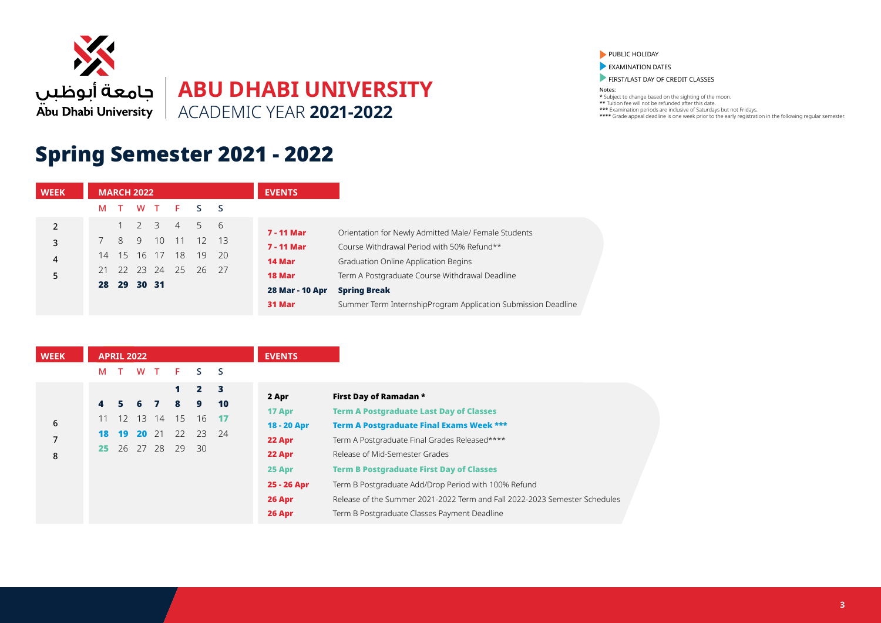

# Spring Semester 2021 - 2022

| <b>WEEK</b>    |    | <b>MARCH 2022</b> |   |                |      |                      |      | <b>EVENTS</b>     |                                                               |
|----------------|----|-------------------|---|----------------|------|----------------------|------|-------------------|---------------------------------------------------------------|
|                | М  |                   |   |                |      | WT F S S             |      |                   |                                                               |
| $\overline{2}$ |    |                   | 2 | $\overline{3}$ | $-4$ | .5                   | - 6  | <b>7 - 11 Mar</b> | Orientation for Newly Admitted Male/ Female Students          |
| 3              |    | 8                 | 9 | 10             | 11   | 12 13                |      | <b>7 - 11 Mar</b> | Course Withdrawal Period with 50% Refund**                    |
| 4              | 14 | $-15$             |   | 16 17          | 18   | $-19$                | - 20 | 14 Mar            | Graduation Online Application Begins                          |
| 5              |    |                   |   |                |      | 21 22 23 24 25 26 27 |      | 18 Mar            | Term A Postgraduate Course Withdrawal Deadline                |
|                |    | 28 29 30 31       |   |                |      |                      |      | 28 Mar - 10 Apr   | <b>Spring Break</b>                                           |
|                |    |                   |   |                |      |                      |      | 31 Mar            | Summer Term InternshipProgram Application Submission Deadline |

| S.<br><b>S</b><br>W<br>$\top$<br>F.<br>M<br>$\mathbf{2}$<br>$\overline{\mathbf{3}}$<br>1.<br>First Day of Ramadan *<br>2 Apr<br>10<br>$\sim$ 4<br>8<br>9<br>67<br>5.<br><b>Term A Postgraduate Last Day of Classes</b><br>17 Apr<br>13 14<br>15 <sup>7</sup><br>12<br>- 16<br>$-17$<br>11<br>18 - 20 Apr<br>22 23<br><b>20</b> 21<br>24<br>19<br>18<br>22 Apr<br>26 27 28<br>$-29$<br>-30<br>25.<br>Release of Mid-Semester Grades<br>22 Apr |
|----------------------------------------------------------------------------------------------------------------------------------------------------------------------------------------------------------------------------------------------------------------------------------------------------------------------------------------------------------------------------------------------------------------------------------------------|
|                                                                                                                                                                                                                                                                                                                                                                                                                                              |
| <b>Term A Postgraduate Final Exams Week ***</b><br>Term A Postgraduate Final Grades Released****                                                                                                                                                                                                                                                                                                                                             |
|                                                                                                                                                                                                                                                                                                                                                                                                                                              |
|                                                                                                                                                                                                                                                                                                                                                                                                                                              |
|                                                                                                                                                                                                                                                                                                                                                                                                                                              |
|                                                                                                                                                                                                                                                                                                                                                                                                                                              |
| <b>Term B Postgraduate First Day of Classes</b><br>25 Apr                                                                                                                                                                                                                                                                                                                                                                                    |
| 25 - 26 Apr<br>Term B Postgraduate Add/Drop Period with 100% Refund                                                                                                                                                                                                                                                                                                                                                                          |
| Release of the Summer 2021-2022 Term and Fall 2022-2023 Semester Schedules<br>26 Apr                                                                                                                                                                                                                                                                                                                                                         |
| Term B Postgraduate Classes Payment Deadline<br>26 Apr                                                                                                                                                                                                                                                                                                                                                                                       |

PUBLIC HOLIDAY

**EXAMINATION DATES** 

FIRST/LAST DAY OF CREDIT CLASSES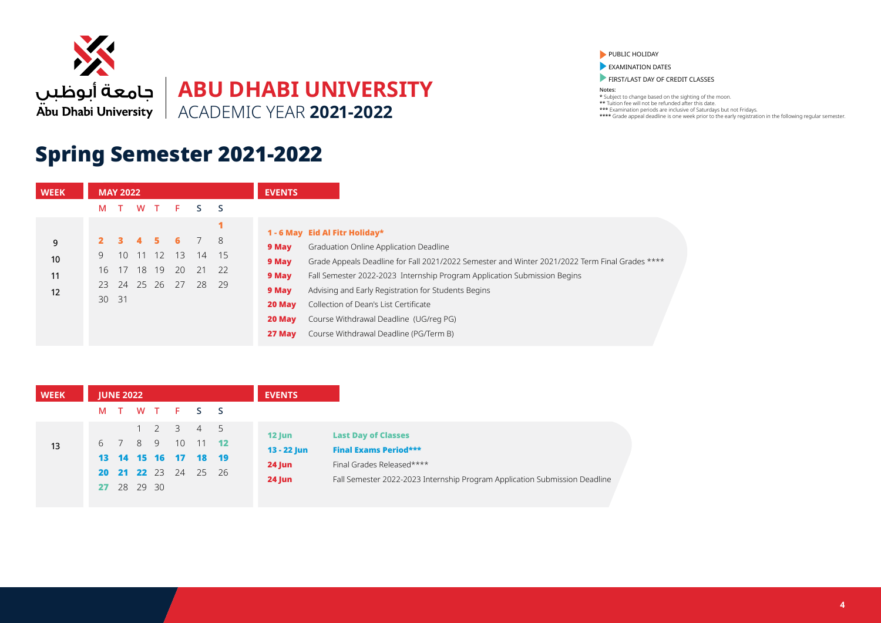

## Spring Semester 2021-2022

| <b>WEEK</b> |       | <b>MAY 2022</b> |          |            |          |          |                              | <b>EVENTS</b>                                                                                                                            |                                                                                                                                 |
|-------------|-------|-----------------|----------|------------|----------|----------|------------------------------|------------------------------------------------------------------------------------------------------------------------------------------|---------------------------------------------------------------------------------------------------------------------------------|
|             | м     |                 |          | W T        | F.       | S.       | - S                          |                                                                                                                                          |                                                                                                                                 |
| 9           |       |                 | 4        | 5.         |          |          | - 8                          |                                                                                                                                          | 1 - 6 May Eid Al Fitr Holiday*                                                                                                  |
| 10          | 16    | 10<br>17        | 11<br>18 | - 12<br>19 | 13<br>20 | 14<br>21 | 9 May<br>- 15<br>9 May<br>22 | Graduation Online Application Deadline<br>Grade Appeals Deadline for Fall 2021/2022 Semester and Winter 2021/2022 Term Final Grades **** |                                                                                                                                 |
| 11<br>12    | 23    | 24 25 26        |          |            | 27       | 28       | - 29                         | 9 May<br>9 May                                                                                                                           | Fall Semester 2022-2023 Internship Program Application Submission Begins<br>Advising and Early Registration for Students Begins |
|             | 30 31 |                 |          |            |          |          |                              | 20 May<br>20 May                                                                                                                         | Collection of Dean's List Certificate<br>Course Withdrawal Deadline (UG/reg PG)                                                 |
|             |       |                 |          |            |          |          |                              | 27 May                                                                                                                                   | Course Withdrawal Deadline (PG/Term B)                                                                                          |

| <b>WEEK</b> | <b>JUNE 2022</b> |  |                                     |                | <b>EVENTS</b>             |                              |                                                                            |  |
|-------------|------------------|--|-------------------------------------|----------------|---------------------------|------------------------------|----------------------------------------------------------------------------|--|
|             |                  |  | M T W T F S S                       |                |                           |                              |                                                                            |  |
|             |                  |  | $1 \quad 2 \quad 3 \quad 4 \quad 5$ |                |                           | <b>Last Day of Classes</b>   |                                                                            |  |
| 13          | 6 7 8 9          |  | 10                                  | $11$ <b>12</b> | $12$ Jun<br>$13 - 22$ Jun | <b>Final Exams Period***</b> |                                                                            |  |
|             |                  |  | 13 14 15 16 17 18 19                |                |                           |                              |                                                                            |  |
|             |                  |  | 20 21 22 23 24 25 26                |                | <b>24 Jun</b>             | Final Grades Released****    |                                                                            |  |
|             | 27 28 29 30      |  |                                     |                | $24$ Jun                  |                              | Fall Semester 2022-2023 Internship Program Application Submission Deadline |  |

#### PUBLIC HOLIDAY

**EXAMINATION DATES** 

**FIRST/LAST DAY OF CREDIT CLASSES**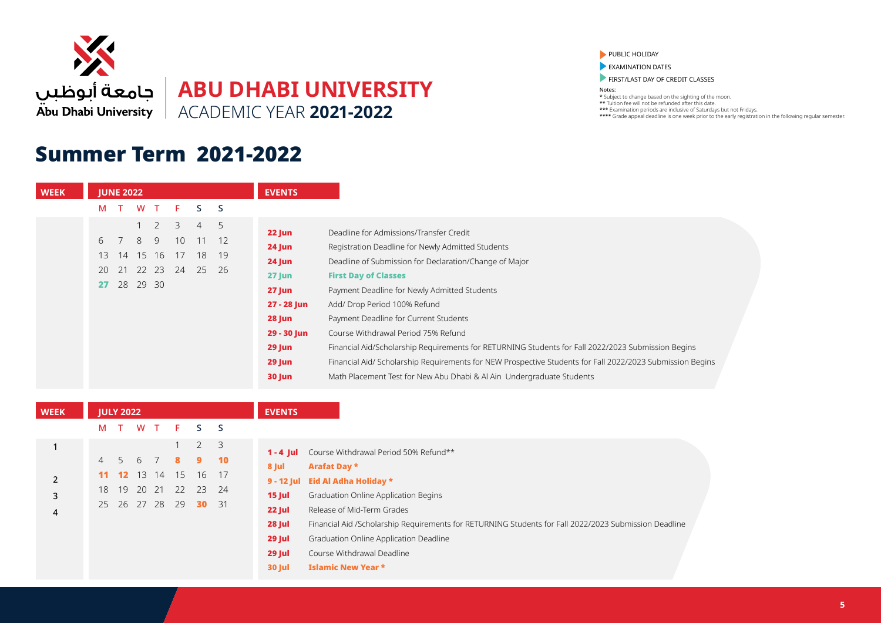

### Summer Term 2021-2022

**WEEK**

1

2 3 4

#### PUBLIC HOLIDAY

**EXAMINATION DATES** 

**FIRST/LAST DAY OF CREDIT CLASSES** 

| <b>WEEK</b> |    | <b>JUNE 2022</b> |          |                |                 |                |      | <b>EVENTS</b> |                                                                                                           |
|-------------|----|------------------|----------|----------------|-----------------|----------------|------|---------------|-----------------------------------------------------------------------------------------------------------|
|             |    | M T              |          | W T            | F.              | S.             | S    |               |                                                                                                           |
|             |    |                  |          | $1 \quad 2$    | 3               | $\overline{4}$ | 5    | 22 Jun        | Deadline for Admissions/Transfer Credit                                                                   |
|             |    | 6 7              | 8        | 9              | 10 <sup>°</sup> | 11             | - 12 | 24 Jun        | Registration Deadline for Newly Admitted Students                                                         |
|             | 13 | 14               | 15       | 16             | 17              | 18             | 19   | 24 Jun        | Deadline of Submission for Declaration/Change of Major                                                    |
|             |    |                  |          | 20 21 22 23 24 |                 | 25             | -26  | $27$ Jun      | <b>First Day of Classes</b>                                                                               |
|             | 27 |                  | 28 29 30 |                |                 |                |      | $27$ Jun      | Payment Deadline for Newly Admitted Students                                                              |
|             |    |                  |          |                |                 |                |      | 27 - 28 Jun   | Add/ Drop Period 100% Refund                                                                              |
|             |    |                  |          |                |                 |                |      | 28 Jun        | Payment Deadline for Current Students                                                                     |
|             |    |                  |          |                |                 |                |      | 29 - 30 Jun   | Course Withdrawal Period 75% Refund                                                                       |
|             |    |                  |          |                |                 |                |      | $29$ Jun      | Financial Aid/Scholarship Requirements for RETURNING Students for Fall 2022/2023 Submission Begins        |
|             |    |                  |          |                |                 |                |      | $29$ Jun      | Financial Aid/ Scholarship Requirements for NEW Prospective Students for Fall 2022/2023 Submission Begins |
|             |    |                  |          |                |                 |                |      | 30 Jun        | Math Placement Test for New Abu Dhabi & Al Ain Undergraduate Students                                     |

|                | <b>JULY 2022</b> |       |     |    |                  |      | <b>EVENTS</b>      |                                                                                                       |
|----------------|------------------|-------|-----|----|------------------|------|--------------------|-------------------------------------------------------------------------------------------------------|
| M              |                  | W     | T F |    | S <sub>S</sub>   |      |                    |                                                                                                       |
| $\overline{4}$ | 5                | 6     |     | 8  | $2 \quad 3$<br>9 | 10   | $1 - 4$ Jul        | Course Withdrawal Period 50% Refund**                                                                 |
|                | 12 <sup>7</sup>  | 13    | 14  | 15 | 16               | 17   | 8 Jul              | <b>Arafat Day *</b>                                                                                   |
| 18             | 19               | 20 21 |     | 22 | 23               | 24   | $9 - 12$ Jul       | Eid Al Adha Holiday *                                                                                 |
| 25             | 26 27 28         |       |     | 29 | 30               | - 31 | $15$ Jul<br>22 Jul | Graduation Online Application Begins<br>Release of Mid-Term Grades                                    |
|                |                  |       |     |    |                  |      | 28 Jul             | Financial Aid /Scholarship Requirements for RETURNING Students for Fall 2022/2023 Submission Deadline |
|                |                  |       |     |    |                  |      | 29 Jul             | Graduation Online Application Deadline                                                                |
|                |                  |       |     |    |                  |      | 29 Jul             | Course Withdrawal Deadline                                                                            |
|                |                  |       |     |    |                  |      | <b>30 Jul</b>      | <b>Islamic New Year *</b>                                                                             |